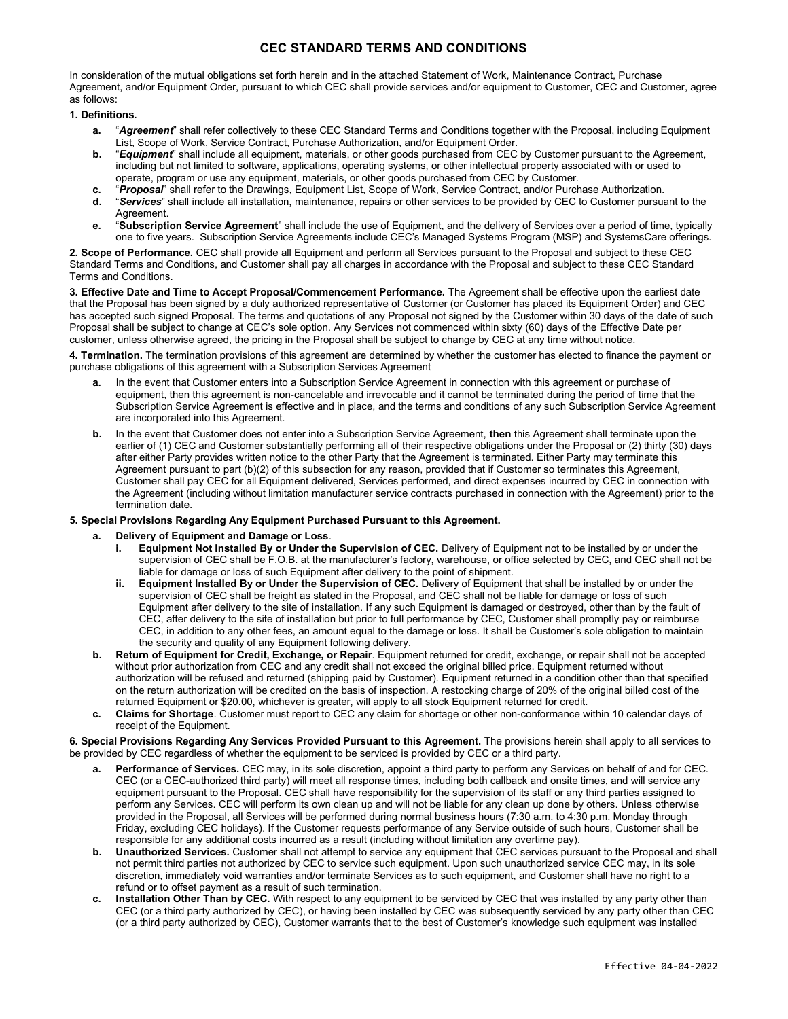In consideration of the mutual obligations set forth herein and in the attached Statement of Work, Maintenance Contract, Purchase Agreement, and/or Equipment Order, pursuant to which CEC shall provide services and/or equipment to Customer, CEC and Customer, agree as follows:

### 1. Definitions.

- a. "Aareement" shall refer collectively to these CEC Standard Terms and Conditions together with the Proposal, including Equipment List, Scope of Work, Service Contract, Purchase Authorization, and/or Equipment Order.
- b. "Equipment" shall include all equipment, materials, or other goods purchased from CEC by Customer pursuant to the Agreement, including but not limited to software, applications, operating systems, or other intellectual property associated with or used to operate, program or use any equipment, materials, or other goods purchased from CEC by Customer.
- c. "Proposal" shall refer to the Drawings, Equipment List, Scope of Work, Service Contract, and/or Purchase Authorization.
- d. "Services" shall include all installation, maintenance, repairs or other services to be provided by CEC to Customer pursuant to the Agreement.
- e. "Subscription Service Agreement" shall include the use of Equipment, and the delivery of Services over a period of time, typically one to five years. Subscription Service Agreements include CEC's Managed Systems Program (MSP) and SystemsCare offerings.

2. Scope of Performance. CEC shall provide all Equipment and perform all Services pursuant to the Proposal and subject to these CEC Standard Terms and Conditions, and Customer shall pay all charges in accordance with the Proposal and subject to these CEC Standard Terms and Conditions.

3. Effective Date and Time to Accept Proposal/Commencement Performance. The Agreement shall be effective upon the earliest date that the Proposal has been signed by a duly authorized representative of Customer (or Customer has placed its Equipment Order) and CEC has accepted such signed Proposal. The terms and quotations of any Proposal not signed by the Customer within 30 days of the date of such Proposal shall be subject to change at CEC's sole option. Any Services not commenced within sixty (60) days of the Effective Date per customer, unless otherwise agreed, the pricing in the Proposal shall be subject to change by CEC at any time without notice.

4. Termination. The termination provisions of this agreement are determined by whether the customer has elected to finance the payment or purchase obligations of this agreement with a Subscription Services Agreement

- a. In the event that Customer enters into a Subscription Service Agreement in connection with this agreement or purchase of equipment, then this agreement is non-cancelable and irrevocable and it cannot be terminated during the period of time that the Subscription Service Agreement is effective and in place, and the terms and conditions of any such Subscription Service Agreement are incorporated into this Agreement.
- b. In the event that Customer does not enter into a Subscription Service Agreement, then this Agreement shall terminate upon the earlier of (1) CEC and Customer substantially performing all of their respective obligations under the Proposal or (2) thirty (30) days after either Party provides written notice to the other Party that the Agreement is terminated. Either Party may terminate this Agreement pursuant to part (b)(2) of this subsection for any reason, provided that if Customer so terminates this Agreement, Customer shall pay CEC for all Equipment delivered, Services performed, and direct expenses incurred by CEC in connection with the Agreement (including without limitation manufacturer service contracts purchased in connection with the Agreement) prior to the termination date.

#### 5. Special Provisions Regarding Any Equipment Purchased Pursuant to this Agreement.

- Delivery of Equipment and Damage or Loss.
	- Equipment Not Installed By or Under the Supervision of CEC. Delivery of Equipment not to be installed by or under the supervision of CEC shall be F.O.B. at the manufacturer's factory, warehouse, or office selected by CEC, and CEC shall not be liable for damage or loss of such Equipment after delivery to the point of shipment.
	- ii. Equipment Installed By or Under the Supervision of CEC. Delivery of Equipment that shall be installed by or under the supervision of CEC shall be freight as stated in the Proposal, and CEC shall not be liable for damage or loss of such Equipment after delivery to the site of installation. If any such Equipment is damaged or destroyed, other than by the fault of CEC, after delivery to the site of installation but prior to full performance by CEC, Customer shall promptly pay or reimburse CEC, in addition to any other fees, an amount equal to the damage or loss. It shall be Customer's sole obligation to maintain the security and quality of any Equipment following delivery.
- b. Return of Equipment for Credit, Exchange, or Repair. Equipment returned for credit, exchange, or repair shall not be accepted without prior authorization from CEC and any credit shall not exceed the original billed price. Equipment returned without authorization will be refused and returned (shipping paid by Customer). Equipment returned in a condition other than that specified on the return authorization will be credited on the basis of inspection. A restocking charge of 20% of the original billed cost of the returned Equipment or \$20.00, whichever is greater, will apply to all stock Equipment returned for credit.
- c. Claims for Shortage. Customer must report to CEC any claim for shortage or other non-conformance within 10 calendar days of receipt of the Equipment.

6. Special Provisions Regarding Any Services Provided Pursuant to this Agreement. The provisions herein shall apply to all services to be provided by CEC regardless of whether the equipment to be serviced is provided by CEC or a third party.

- Performance of Services. CEC may, in its sole discretion, appoint a third party to perform any Services on behalf of and for CEC. CEC (or a CEC-authorized third party) will meet all response times, including both callback and onsite times, and will service any equipment pursuant to the Proposal. CEC shall have responsibility for the supervision of its staff or any third parties assigned to perform any Services. CEC will perform its own clean up and will not be liable for any clean up done by others. Unless otherwise provided in the Proposal, all Services will be performed during normal business hours (7:30 a.m. to 4:30 p.m. Monday through Friday, excluding CEC holidays). If the Customer requests performance of any Service outside of such hours, Customer shall be responsible for any additional costs incurred as a result (including without limitation any overtime pay).
- b. Unauthorized Services. Customer shall not attempt to service any equipment that CEC services pursuant to the Proposal and shall not permit third parties not authorized by CEC to service such equipment. Upon such unauthorized service CEC may, in its sole discretion, immediately void warranties and/or terminate Services as to such equipment, and Customer shall have no right to a refund or to offset payment as a result of such termination.
- c. Installation Other Than by CEC. With respect to any equipment to be serviced by CEC that was installed by any party other than CEC (or a third party authorized by CEC), or having been installed by CEC was subsequently serviced by any party other than CEC (or a third party authorized by CEC), Customer warrants that to the best of Customer's knowledge such equipment was installed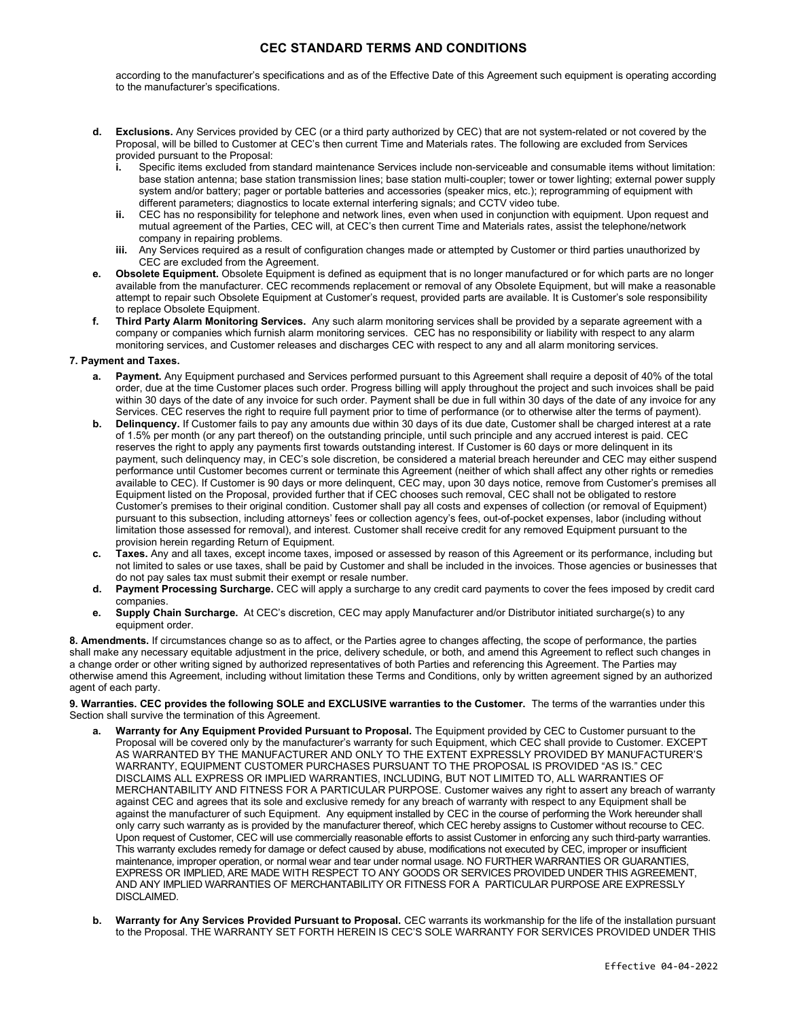according to the manufacturer's specifications and as of the Effective Date of this Agreement such equipment is operating according to the manufacturer's specifications.

- d. Exclusions. Any Services provided by CEC (or a third party authorized by CEC) that are not system-related or not covered by the Proposal, will be billed to Customer at CEC's then current Time and Materials rates. The following are excluded from Services provided pursuant to the Proposal:
	- i. Specific items excluded from standard maintenance Services include non-serviceable and consumable items without limitation: base station antenna; base station transmission lines; base station multi-coupler; tower or tower lighting; external power supply system and/or battery; pager or portable batteries and accessories (speaker mics, etc.); reprogramming of equipment with different parameters; diagnostics to locate external interfering signals; and CCTV video tube.
	- ii. CEC has no responsibility for telephone and network lines, even when used in conjunction with equipment. Upon request and mutual agreement of the Parties, CEC will, at CEC's then current Time and Materials rates, assist the telephone/network company in repairing problems.
	- iii. Any Services required as a result of configuration changes made or attempted by Customer or third parties unauthorized by CEC are excluded from the Agreement.
- Obsolete Equipment. Obsolete Equipment is defined as equipment that is no longer manufactured or for which parts are no longer available from the manufacturer. CEC recommends replacement or removal of any Obsolete Equipment, but will make a reasonable attempt to repair such Obsolete Equipment at Customer's request, provided parts are available. It is Customer's sole responsibility to replace Obsolete Equipment.
- f. Third Party Alarm Monitoring Services. Any such alarm monitoring services shall be provided by a separate agreement with a company or companies which furnish alarm monitoring services. CEC has no responsibility or liability with respect to any alarm monitoring services, and Customer releases and discharges CEC with respect to any and all alarm monitoring services.

#### 7. Payment and Taxes.

- Payment. Any Equipment purchased and Services performed pursuant to this Agreement shall require a deposit of 40% of the total order, due at the time Customer places such order. Progress billing will apply throughout the project and such invoices shall be paid within 30 days of the date of any invoice for such order. Payment shall be due in full within 30 days of the date of any invoice for any Services. CEC reserves the right to require full payment prior to time of performance (or to otherwise alter the terms of payment).
- b. Delinquency. If Customer fails to pay any amounts due within 30 days of its due date, Customer shall be charged interest at a rate of 1.5% per month (or any part thereof) on the outstanding principle, until such principle and any accrued interest is paid. CEC reserves the right to apply any payments first towards outstanding interest. If Customer is 60 days or more delinquent in its payment, such delinquency may, in CEC's sole discretion, be considered a material breach hereunder and CEC may either suspend performance until Customer becomes current or terminate this Agreement (neither of which shall affect any other rights or remedies available to CEC). If Customer is 90 days or more delinquent, CEC may, upon 30 days notice, remove from Customer's premises all Equipment listed on the Proposal, provided further that if CEC chooses such removal, CEC shall not be obligated to restore Customer's premises to their original condition. Customer shall pay all costs and expenses of collection (or removal of Equipment) pursuant to this subsection, including attorneys' fees or collection agency's fees, out-of-pocket expenses, labor (including without limitation those assessed for removal), and interest. Customer shall receive credit for any removed Equipment pursuant to the provision herein regarding Return of Equipment.
- c. Taxes. Any and all taxes, except income taxes, imposed or assessed by reason of this Agreement or its performance, including but not limited to sales or use taxes, shall be paid by Customer and shall be included in the invoices. Those agencies or businesses that do not pay sales tax must submit their exempt or resale number.
- d. Payment Processing Surcharge. CEC will apply a surcharge to any credit card payments to cover the fees imposed by credit card companies.
- e. Supply Chain Surcharge. At CEC's discretion, CEC may apply Manufacturer and/or Distributor initiated surcharge(s) to any equipment order.

8. Amendments. If circumstances change so as to affect, or the Parties agree to changes affecting, the scope of performance, the parties shall make any necessary equitable adjustment in the price, delivery schedule, or both, and amend this Agreement to reflect such changes in a change order or other writing signed by authorized representatives of both Parties and referencing this Agreement. The Parties may otherwise amend this Agreement, including without limitation these Terms and Conditions, only by written agreement signed by an authorized agent of each party.

9. Warranties. CEC provides the following SOLE and EXCLUSIVE warranties to the Customer. The terms of the warranties under this Section shall survive the termination of this Agreement.

- Warranty for Any Equipment Provided Pursuant to Proposal. The Equipment provided by CEC to Customer pursuant to the Proposal will be covered only by the manufacturer's warranty for such Equipment, which CEC shall provide to Customer. EXCEPT AS WARRANTED BY THE MANUFACTURER AND ONLY TO THE EXTENT EXPRESSLY PROVIDED BY MANUFACTURER'S WARRANTY, EQUIPMENT CUSTOMER PURCHASES PURSUANT TO THE PROPOSAL IS PROVIDED "AS IS." CEC DISCLAIMS ALL EXPRESS OR IMPLIED WARRANTIES, INCLUDING, BUT NOT LIMITED TO, ALL WARRANTIES OF MERCHANTABILITY AND FITNESS FOR A PARTICULAR PURPOSE. Customer waives any right to assert any breach of warranty against CEC and agrees that its sole and exclusive remedy for any breach of warranty with respect to any Equipment shall be against the manufacturer of such Equipment. Any equipment installed by CEC in the course of performing the Work hereunder shall only carry such warranty as is provided by the manufacturer thereof, which CEC hereby assigns to Customer without recourse to CEC. Upon request of Customer, CEC will use commercially reasonable efforts to assist Customer in enforcing any such third-party warranties. This warranty excludes remedy for damage or defect caused by abuse, modifications not executed by CEC, improper or insufficient maintenance, improper operation, or normal wear and tear under normal usage. NO FURTHER WARRANTIES OR GUARANTIES, EXPRESS OR IMPLIED, ARE MADE WITH RESPECT TO ANY GOODS OR SERVICES PROVIDED UNDER THIS AGREEMENT, AND ANY IMPLIED WARRANTIES OF MERCHANTABILITY OR FITNESS FOR A PARTICULAR PURPOSE ARE EXPRESSLY DISCLAIMED.
- Warranty for Any Services Provided Pursuant to Proposal. CEC warrants its workmanship for the life of the installation pursuant to the Proposal. THE WARRANTY SET FORTH HEREIN IS CEC'S SOLE WARRANTY FOR SERVICES PROVIDED UNDER THIS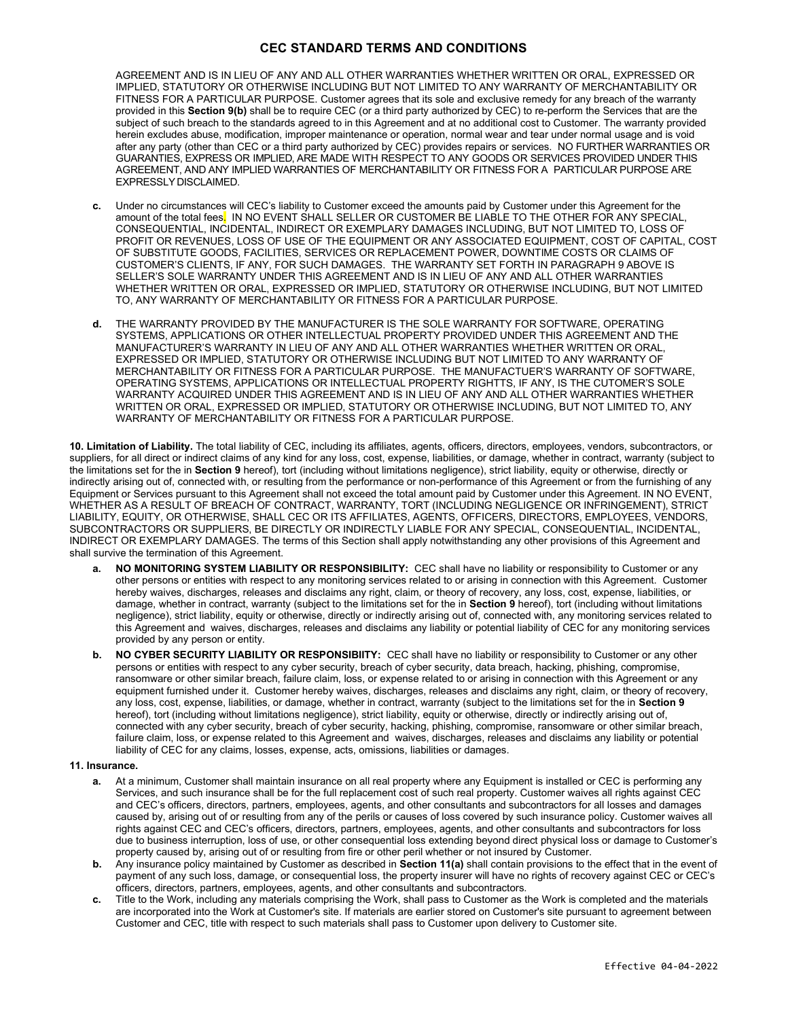AGREEMENT AND IS IN LIEU OF ANY AND ALL OTHER WARRANTIES WHETHER WRITTEN OR ORAL, EXPRESSED OR IMPLIED, STATUTORY OR OTHERWISE INCLUDING BUT NOT LIMITED TO ANY WARRANTY OF MERCHANTABILITY OR FITNESS FOR A PARTICULAR PURPOSE. Customer agrees that its sole and exclusive remedy for any breach of the warranty provided in this Section 9(b) shall be to require CEC (or a third party authorized by CEC) to re-perform the Services that are the subject of such breach to the standards agreed to in this Agreement and at no additional cost to Customer. The warranty provided herein excludes abuse, modification, improper maintenance or operation, normal wear and tear under normal usage and is void after any party (other than CEC or a third party authorized by CEC) provides repairs or services. NO FURTHER WARRANTIES OR GUARANTIES, EXPRESS OR IMPLIED, ARE MADE WITH RESPECT TO ANY GOODS OR SERVICES PROVIDED UNDER THIS AGREEMENT, AND ANY IMPLIED WARRANTIES OF MERCHANTABILITY OR FITNESS FOR A PARTICULAR PURPOSE ARE EXPRESSLY DISCLAIMED.

- c. Under no circumstances will CEC's liability to Customer exceed the amounts paid by Customer under this Agreement for the amount of the total fees. IN NO EVENT SHALL SELLER OR CUSTOMER BE LIABLE TO THE OTHER FOR ANY SPECIAL, CONSEQUENTIAL, INCIDENTAL, INDIRECT OR EXEMPLARY DAMAGES INCLUDING, BUT NOT LIMITED TO, LOSS OF PROFIT OR REVENUES, LOSS OF USE OF THE EQUIPMENT OR ANY ASSOCIATED EQUIPMENT, COST OF CAPITAL, COST OF SUBSTITUTE GOODS, FACILITIES, SERVICES OR REPLACEMENT POWER, DOWNTIME COSTS OR CLAIMS OF CUSTOMER'S CLIENTS, IF ANY, FOR SUCH DAMAGES. THE WARRANTY SET FORTH IN PARAGRAPH 9 ABOVE IS SELLER'S SOLE WARRANTY UNDER THIS AGREEMENT AND IS IN LIEU OF ANY AND ALL OTHER WARRANTIES WHETHER WRITTEN OR ORAL, EXPRESSED OR IMPLIED, STATUTORY OR OTHERWISE INCLUDING, BUT NOT LIMITED TO, ANY WARRANTY OF MERCHANTABILITY OR FITNESS FOR A PARTICULAR PURPOSE.
- d. THE WARRANTY PROVIDED BY THE MANUFACTURER IS THE SOLE WARRANTY FOR SOFTWARE, OPERATING SYSTEMS, APPLICATIONS OR OTHER INTELLECTUAL PROPERTY PROVIDED UNDER THIS AGREEMENT AND THE MANUFACTURER'S WARRANTY IN LIEU OF ANY AND ALL OTHER WARRANTIES WHETHER WRITTEN OR ORAL, EXPRESSED OR IMPLIED, STATUTORY OR OTHERWISE INCLUDING BUT NOT LIMITED TO ANY WARRANTY OF MERCHANTABILITY OR FITNESS FOR A PARTICULAR PURPOSE. THE MANUFACTUER'S WARRANTY OF SOFTWARE, OPERATING SYSTEMS, APPLICATIONS OR INTELLECTUAL PROPERTY RIGHTTS, IF ANY, IS THE CUTOMER'S SOLE WARRANTY ACQUIRED UNDER THIS AGREEMENT AND IS IN LIEU OF ANY AND ALL OTHER WARRANTIES WHETHER WRITTEN OR ORAL, EXPRESSED OR IMPLIED, STATUTORY OR OTHERWISE INCLUDING, BUT NOT LIMITED TO, ANY WARRANTY OF MERCHANTABILITY OR FITNESS FOR A PARTICULAR PURPOSE.

10. Limitation of Liability. The total liability of CEC, including its affiliates, agents, officers, directors, employees, vendors, subcontractors, or suppliers, for all direct or indirect claims of any kind for any loss, cost, expense, liabilities, or damage, whether in contract, warranty (subject to the limitations set for the in Section 9 hereof), tort (including without limitations negligence), strict liability, equity or otherwise, directly or indirectly arising out of, connected with, or resulting from the performance or non-performance of this Agreement or from the furnishing of any Equipment or Services pursuant to this Agreement shall not exceed the total amount paid by Customer under this Agreement. IN NO EVENT, WHETHER AS A RESULT OF BREACH OF CONTRACT, WARRANTY, TORT (INCLUDING NEGLIGENCE OR INFRINGEMENT), STRICT LIABILITY, EQUITY, OR OTHERWISE, SHALL CEC OR ITS AFFILIATES, AGENTS, OFFICERS, DIRECTORS, EMPLOYEES, VENDORS, SUBCONTRACTORS OR SUPPLIERS, BE DIRECTLY OR INDIRECTLY LIABLE FOR ANY SPECIAL, CONSEQUENTIAL, INCIDENTAL, INDIRECT OR EXEMPLARY DAMAGES. The terms of this Section shall apply notwithstanding any other provisions of this Agreement and shall survive the termination of this Agreement.

- NO MONITORING SYSTEM LIABILITY OR RESPONSIBILITY: CEC shall have no liability or responsibility to Customer or any other persons or entities with respect to any monitoring services related to or arising in connection with this Agreement. Customer hereby waives, discharges, releases and disclaims any right, claim, or theory of recovery, any loss, cost, expense, liabilities, or damage, whether in contract, warranty (subject to the limitations set for the in Section 9 hereof), tort (including without limitations negligence), strict liability, equity or otherwise, directly or indirectly arising out of, connected with, any monitoring services related to this Agreement and waives, discharges, releases and disclaims any liability or potential liability of CEC for any monitoring services provided by any person or entity.
- b. NO CYBER SECURITY LIABILITY OR RESPONSIBIITY: CEC shall have no liability or responsibility to Customer or any other persons or entities with respect to any cyber security, breach of cyber security, data breach, hacking, phishing, compromise, ransomware or other similar breach, failure claim, loss, or expense related to or arising in connection with this Agreement or any equipment furnished under it. Customer hereby waives, discharges, releases and disclaims any right, claim, or theory of recovery, any loss, cost, expense, liabilities, or damage, whether in contract, warranty (subject to the limitations set for the in Section 9 hereof), tort (including without limitations negligence), strict liability, equity or otherwise, directly or indirectly arising out of, connected with any cyber security, breach of cyber security, hacking, phishing, compromise, ransomware or other similar breach, failure claim, loss, or expense related to this Agreement and waives, discharges, releases and disclaims any liability or potential liability of CEC for any claims, losses, expense, acts, omissions, liabilities or damages.

#### 11. Insurance.

- At a minimum, Customer shall maintain insurance on all real property where any Equipment is installed or CEC is performing any Services, and such insurance shall be for the full replacement cost of such real property. Customer waives all rights against CEC and CEC's officers, directors, partners, employees, agents, and other consultants and subcontractors for all losses and damages caused by, arising out of or resulting from any of the perils or causes of loss covered by such insurance policy. Customer waives all rights against CEC and CEC's officers, directors, partners, employees, agents, and other consultants and subcontractors for loss due to business interruption, loss of use, or other consequential loss extending beyond direct physical loss or damage to Customer's property caused by, arising out of or resulting from fire or other peril whether or not insured by Customer.
- b. Any insurance policy maintained by Customer as described in Section 11(a) shall contain provisions to the effect that in the event of payment of any such loss, damage, or consequential loss, the property insurer will have no rights of recovery against CEC or CEC's officers, directors, partners, employees, agents, and other consultants and subcontractors.
- Title to the Work, including any materials comprising the Work, shall pass to Customer as the Work is completed and the materials are incorporated into the Work at Customer's site. If materials are earlier stored on Customer's site pursuant to agreement between Customer and CEC, title with respect to such materials shall pass to Customer upon delivery to Customer site.